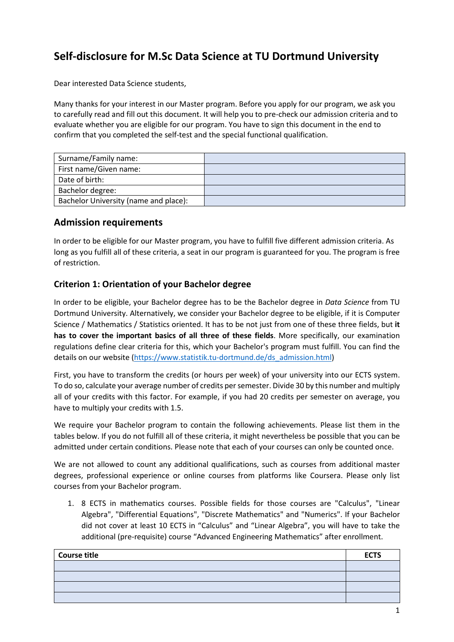# **Self-disclosure for M.Sc Data Science at TU Dortmund University**

Dear interested Data Science students,

Many thanks for your interest in our Master program. Before you apply for our program, we ask you to carefully read and fill out this document. It will help you to pre-check our admission criteria and to evaluate whether you are eligible for our program. You have to sign this document in the end to confirm that you completed the self-test and the special functional qualification.

| Surname/Family name:                  |  |
|---------------------------------------|--|
| First name/Given name:                |  |
| Date of birth:                        |  |
| Bachelor degree:                      |  |
| Bachelor University (name and place): |  |

## **Admission requirements**

In order to be eligible for our Master program, you have to fulfill five different admission criteria. As long as you fulfill all of these criteria, a seat in our program is guaranteed for you. The program is free of restriction.

#### **Criterion 1: Orientation of your Bachelor degree**

In order to be eligible, your Bachelor degree has to be the Bachelor degree in *Data Science* from TU Dortmund University. Alternatively, we consider your Bachelor degree to be eligible, if it is Computer Science / Mathematics / Statistics oriented. It has to be not just from one of these three fields, but **it has to cover the important basics of all three of these fields**. More specifically, our examination regulations define clear criteria for this, which your Bachelor's program must fulfill. You can find the details on our website [\(https://www.statistik.tu-dortmund.de/ds\\_admission.html\)](https://www.statistik.tu-dortmund.de/ds_admission.html)

First, you have to transform the credits (or hours per week) of your university into our ECTS system. To do so, calculate your average number of credits per semester. Divide 30 by this number and multiply all of your credits with this factor. For example, if you had 20 credits per semester on average, you have to multiply your credits with 1.5.

We require your Bachelor program to contain the following achievements. Please list them in the tables below. If you do not fulfill all of these criteria, it might nevertheless be possible that you can be admitted under certain conditions. Please note that each of your courses can only be counted once.

We are not allowed to count any additional qualifications, such as courses from additional master degrees, professional experience or online courses from platforms like Coursera. Please only list courses from your Bachelor program.

1. 8 ECTS in mathematics courses. Possible fields for those courses are "Calculus", "Linear Algebra", "Differential Equations", "Discrete Mathematics" and "Numerics". If your Bachelor did not cover at least 10 ECTS in "Calculus" and "Linear Algebra", you will have to take the additional (pre-requisite) course "Advanced Engineering Mathematics" after enrollment.

| <b>Course title</b> | <b>ECTS</b> |
|---------------------|-------------|
|                     |             |
|                     |             |
|                     |             |
|                     |             |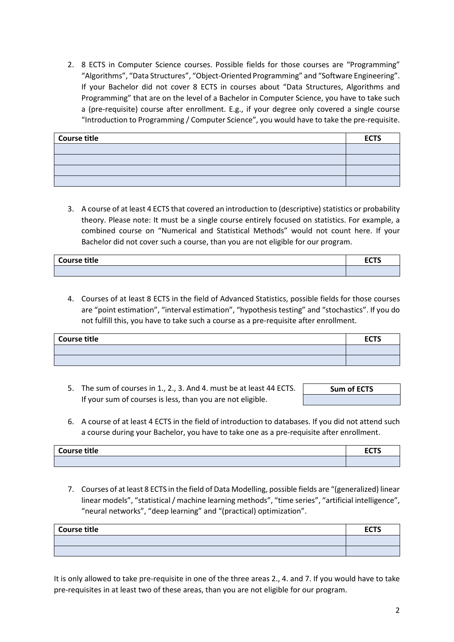2. 8 ECTS in Computer Science courses. Possible fields for those courses are "Programming" "Algorithms", "Data Structures", "Object-Oriented Programming" and "Software Engineering". If your Bachelor did not cover 8 ECTS in courses about "Data Structures, Algorithms and Programming" that are on the level of a Bachelor in Computer Science, you have to take such a (pre-requisite) course after enrollment. E.g., if your degree only covered a single course "Introduction to Programming / Computer Science", you would have to take the pre-requisite.

| Course title | <b>ECTS</b> |
|--------------|-------------|
|              |             |
|              |             |
|              |             |
|              |             |

3. A course of at least 4 ECTS that covered an introduction to (descriptive) statistics or probability theory. Please note: It must be a single course entirely focused on statistics. For example, a combined course on "Numerical and Statistical Methods" would not count here. If your Bachelor did not cover such a course, than you are not eligible for our program.

| <b>Course title</b> | <u>rete</u><br>LJ 1 J<br>___ |
|---------------------|------------------------------|
|                     |                              |

4. Courses of at least 8 ECTS in the field of Advanced Statistics, possible fields for those courses are "point estimation", "interval estimation", "hypothesis testing" and "stochastics". If you do not fulfill this, you have to take such a course as a pre-requisite after enrollment.

| Course title | <b>ECTS</b> |
|--------------|-------------|
|              |             |
|              |             |

- 5. The sum of courses in 1., 2., 3. And 4. must be at least 44 ECTS. If your sum of courses is less, than you are not eligible.
- **Sum of ECTS**
- 6. A course of at least 4 ECTS in the field of introduction to databases. If you did not attend such a course during your Bachelor, you have to take one as a pre-requisite after enrollment.

| <b>Course title</b> | - ^-^<br>. |
|---------------------|------------|
|                     |            |

7. Courses of at least 8 ECTS in the field of Data Modelling, possible fields are "(generalized) linear linear models", "statistical / machine learning methods", "time series", "artificial intelligence", "neural networks", "deep learning" and "(practical) optimization".

| Course title | <b>ECTS</b> |
|--------------|-------------|
|              |             |
|              |             |

It is only allowed to take pre-requisite in one of the three areas 2., 4. and 7. If you would have to take pre-requisites in at least two of these areas, than you are not eligible for our program.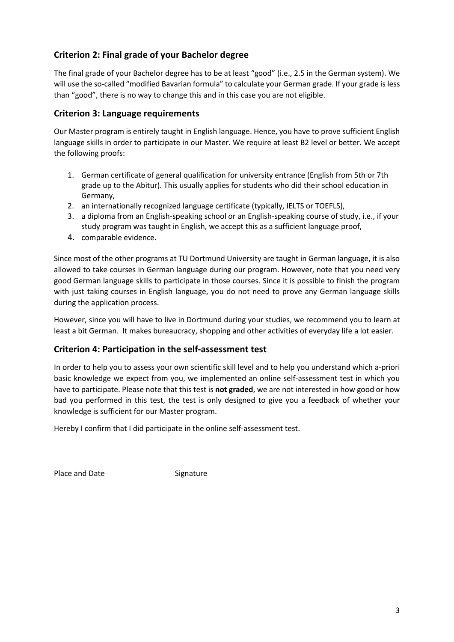# **Criterion 2: Final grade of your Bachelor degree**

The final grade of your Bachelor degree has to be at least "good" (i.e., 2.5 in the German system). We will use the so-called "modified Bavarian formula" to calculate your German grade. If your grade is less than "good", there is no way to change this and in this case you are not eligible.

## **Criterion 3: Language requirements**

Our Master program is entirely taught in English language. Hence, you have to prove sufficient English language skills in order to participate in our Master. We require at least B2 level or better. We accept the following proofs:

- 1. German certificate of general qualification for university entrance (English from 5th or 7th grade up to the Abitur). This usually applies for students who did their school education in Germany,
- 2. an internationally recognized language certificate (typically, IELTS or TOEFLS),
- 3. a diploma from an English-speaking school or an English-speaking course of study, i.e., if your study program was taught in English, we accept this as a sufficient language proof,
- 4. comparable evidence.

Since most of the other programs at TU Dortmund University are taught in German language, it is also allowed to take courses in German language during our program. However, note that you need very good German language skills to participate in those courses. Since it is possible to finish the program with just taking courses in English language, you do not need to prove any German language skills during the application process.

However, since you will have to live in Dortmund during your studies, we recommend you to learn at least a bit German. It makes bureaucracy, shopping and other activities of everyday life a lot easier.

#### **Criterion 4: Participation in the self-assessment test**

In order to help you to assess your own scientific skill level and to help you understand which a-priori basic knowledge we expect from you, we implemented an online self-assessment test in which you have to participate. Please note that this test is **not graded**, we are not interested in how good or how bad you performed in this test, the test is only designed to give you a feedback of whether your knowledge is sufficient for our Master program.

Hereby I confirm that I did participate in the online self-assessment test.

Place and Date Signature